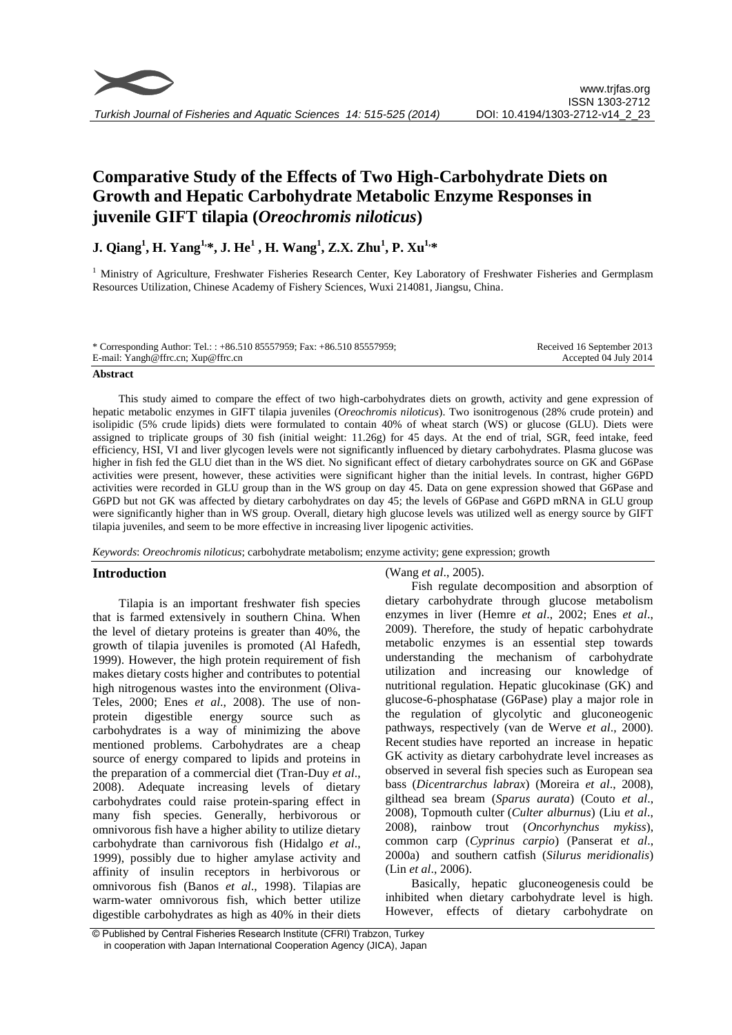

# **Comparative Study of the Effects of Two High-Carbohydrate Diets on Growth and Hepatic Carbohydrate Metabolic Enzyme Responses in juvenile GIFT tilapia (***Oreochromis niloticus***)**

**J. Qiang<sup>1</sup> , H. Yang1,\*, J. He<sup>1</sup> , H. Wang<sup>1</sup> , Z.X. Zhu<sup>1</sup> , P. Xu1,\***

<sup>1</sup> Ministry of Agriculture, Freshwater Fisheries Research Center, Key Laboratory of Freshwater Fisheries and Germplasm Resources Utilization, Chinese Academy of Fishery Sciences, Wuxi 214081, Jiangsu, China.

\* Corresponding Author: Tel.: : +86.510 85557959; Fax: +86.510 85557959; E-mail: Yangh@ffrc.cn; Xup@ffrc.cn Received 16 September 2013 Accepted 04 July 2014

#### **Abstract**

This study aimed to compare the effect of two high-carbohydrates diets on growth, activity and gene expression of hepatic metabolic enzymes in GIFT tilapia juveniles (*Oreochromis niloticus*). Two isonitrogenous (28% crude protein) and isolipidic (5% crude lipids) diets were formulated to contain 40% of wheat starch (WS) or glucose (GLU). Diets were assigned to triplicate groups of 30 fish (initial weight: 11.26g) for 45 days. At the end of trial, SGR, feed intake, feed efficiency, HSI, VI and liver glycogen levels were not significantly influenced by dietary carbohydrates. Plasma glucose was higher in fish fed the GLU diet than in the WS diet. No significant effect of dietary carbohydrates source on GK and G6Pase activities were present, however, these activities were significant higher than the initial levels. In contrast, higher G6PD activities were recorded in GLU group than in the WS group on day 45. Data on gene expression showed that G6Pase and G6PD but not GK was affected by dietary carbohydrates on day 45; the levels of G6Pase and G6PD mRNA in GLU group were significantly higher than in WS group. Overall, dietary high glucose levels was utilized well as energy source by GIFT tilapia juveniles, and seem to be more effective in increasing liver lipogenic activities.

*Keywords*: *Oreochromis niloticus*; carbohydrate metabolism; enzyme activity; gene expression; growth

# **Introduction**

Tilapia is an important freshwater fish species that is farmed extensively in southern China. When the level of dietary proteins is greater than 40%, the growth of tilapia juveniles is promoted (Al Hafedh, 1999). However, the high protein requirement of fish makes dietary costs higher and contributes to potential high nitrogenous wastes into the environment (Oliva-Teles, 2000; Enes *et al*., 2008). The use of nonprotein digestible energy source such carbohydrates is a way of minimizing the above mentioned problems. Carbohydrates are a cheap source of energy compared to lipids and proteins in the preparation of a commercial diet (Tran-Duy *et al*., 2008). Adequate increasing levels of dietary carbohydrates could raise protein-sparing effect in many fish species. Generally, herbivorous or omnivorous fish have a higher ability to utilize dietary carbohydrate than carnivorous fish (Hidalgo *et al*., 1999), possibly due to higher amylase activity and affinity of insulin receptors in herbivorous or omnivorous fish (Banos *et al*., 1998). Tilapias are warm-water omnivorous fish, which better utilize digestible carbohydrates as high as 40% in their diets (Wang *et al*., 2005).

Fish regulate decomposition and absorption of dietary carbohydrate through glucose metabolism enzymes in liver (Hemre *et al*., 2002; Enes *et al*., 2009). Therefore, the study of hepatic carbohydrate metabolic enzymes is an essential step towards understanding the mechanism of carbohydrate utilization and increasing our knowledge of nutritional regulation. Hepatic glucokinase (GK) and glucose-6-phosphatase (G6Pase) play a major role in the regulation of glycolytic and gluconeogenic pathways, respectively (van de Werve *et al*., 2000). Recent studies have reported an increase in hepatic GK activity as dietary carbohydrate level increases as observed in several fish species such as European sea bass (*Dicentrarchus labrax*) (Moreira *et al*., 2008), gilthead sea bream (*Sparus aurata*) (Couto *et al*., 2008), Topmouth culter (*Culter alburnus*) (Liu *et al*., 2008), rainbow trout (*Oncorhynchus mykiss*), common carp (*Cyprinus carpio*) (Panserat e*t al*., 2000a) and southern catfish (*Silurus meridionalis*) (Lin *et al*., 2006).

Basically, hepatic [gluconeogenesis](http://dict.cn/gluconeogenesis) could be inhibited when dietary carbohydrate level is high. However, effects of dietary carbohydrate on

<sup>©</sup> Published by Central Fisheries Research Institute (CFRI) Trabzon, Turkey in cooperation with Japan International Cooperation Agency (JICA), Japan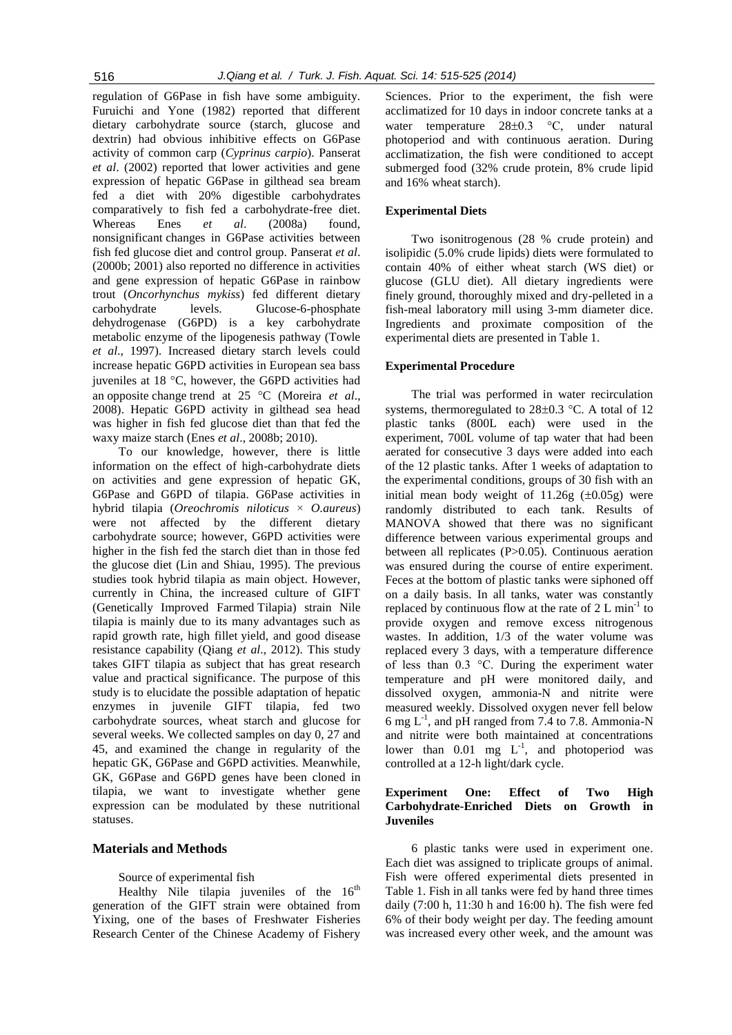regulation of G6Pase in fish have some ambiguity. Furuichi and Yone (1982) reported that different dietary carbohydrate source (starch, glucose and dextrin) had obvious inhibitive effects on G6Pase activity of common carp (*Cyprinus carpio*). Panserat *et al*. (2002) reported that lower activities and gene expression of hepatic G6Pase in gilthead sea bream fed a diet with 20% digestible carbohydrates comparatively to fish fed a carbohydrate-free diet. Whereas Enes *et al*. (2008a) found, nonsignificant changes in G6Pase activities between fish fed glucose diet and control group. Panserat *et al*. (2000b; 2001) also reported no difference in activities and gene expression of hepatic G6Pase in rainbow trout (*Oncorhynchus mykiss*) fed different dietary carbohydrate levels. Glucose-6-phosphate dehydrogenase (G6PD) is a key carbohydrate metabolic enzyme of the lipogenesis pathway (Towle *et al*., 1997). Increased dietary starch levels could increase hepatic G6PD activities in European sea bass juveniles at  $18 \text{ °C}$ , however, the G6PD activities had an opposite change trend at 25 °C (Moreira *et al.*, 2008). Hepatic G6PD activity in gilthead sea head was higher in fish fed glucose diet than that fed the waxy maize starch (Enes *et al*., 2008b; 2010).

To our knowledge, however, there is little information on the effect of high-carbohydrate diets on activities and gene expression of hepatic GK, G6Pase and G6PD of tilapia. G6Pase activities in hybrid tilapia (*Oreochromis niloticus* × *O.aureus*) were not affected by the different dietary carbohydrate source; however, G6PD activities were higher in the fish fed the starch diet than in those fed the glucose diet (Lin and Shiau, 1995). The previous studies took hybrid tilapia as main object. However, currently in China, the increased culture of GIFT (Genetically Improved Farmed Tilapia) strain Nile tilapia is mainly due to its many advantages such as rapid growth rate, high fillet yield, and good disease resistance capability (Qiang *et al*., 2012). This study takes GIFT tilapia as subject that has great research value and practical significance. The purpose of this study is to elucidate the possible adaptation of hepatic enzymes in juvenile GIFT tilapia, fed two carbohydrate sources, wheat starch and glucose for several weeks. We collected samples on day 0, 27 and 45, and examined the change in regularity of the hepatic GK, G6Pase and G6PD activities. Meanwhile, GK, G6Pase and G6PD genes have been cloned in tilapia, we want to investigate whether gene expression can be modulated by these nutritional statuses.

# **Materials and Methods**

#### Source of experimental fish

Healthy Nile tilapia juveniles of the  $16<sup>th</sup>$ generation of the GIFT strain were obtained from Yixing, one of the bases of Freshwater Fisheries Research Center of the Chinese Academy of Fishery Sciences. Prior to the experiment, the fish were acclimatized for 10 days in indoor concrete tanks at a water temperature  $28\pm0.3$  °C, under natural photoperiod and with continuous aeration. During acclimatization, the fish were conditioned to accept submerged food (32% crude protein, 8% crude lipid and 16% wheat starch).

## **Experimental Diets**

Two isonitrogenous (28 % crude protein) and isolipidic (5.0% crude lipids) diets were formulated to contain 40% of either wheat starch (WS diet) or glucose (GLU diet). All dietary ingredients were finely ground, thoroughly mixed and dry-pelleted in a fish-meal laboratory mill using 3-mm diameter dice. Ingredients and proximate composition of the experimental diets are presented in Table 1.

# **Experimental Procedure**

The trial was performed in water recirculation systems, thermoregulated to  $28\pm0.3$  °C. A total of 12 plastic tanks (800L each) were used in the experiment, 700L volume of tap water that had been aerated for consecutive 3 days were added into each of the 12 plastic tanks. After 1 weeks of adaptation to the experimental conditions, groups of 30 fish with an initial mean body weight of  $11.26g$  ( $\pm 0.05g$ ) were randomly distributed to each tank. Results of MANOVA showed that there was no significant difference between various experimental groups and between all replicates (P>0.05). Continuous aeration was ensured during the course of entire experiment. Feces at the bottom of plastic tanks were siphoned off on a daily basis. In all tanks, water was constantly replaced by continuous flow at the rate of  $2 L min<sup>-1</sup>$  to provide oxygen and remove excess nitrogenous wastes. In addition, 1/3 of the water volume was replaced every 3 days, with a temperature difference of less than 0.3 °C. During the experiment water temperature and pH were monitored daily, and dissolved oxygen, ammonia-N and nitrite were measured weekly. Dissolved oxygen never fell below 6 mg  $L^{-1}$ , and pH ranged from 7.4 to 7.8. Ammonia-N and nitrite were both maintained at concentrations lower than  $0.01$  mg  $L^{-1}$ , and photoperiod was controlled at a 12-h light/dark cycle.

# **Experiment One: Effect of Two High Carbohydrate-Enriched Diets on Growth in Juveniles**

6 plastic tanks were used in experiment one. Each diet was assigned to triplicate groups of animal. Fish were offered experimental diets presented in Table 1. Fish in all tanks were fed by hand three times daily (7:00 h, 11:30 h and 16:00 h). The fish were fed 6% of their body weight per day. The feeding amount was increased every other week, and the amount was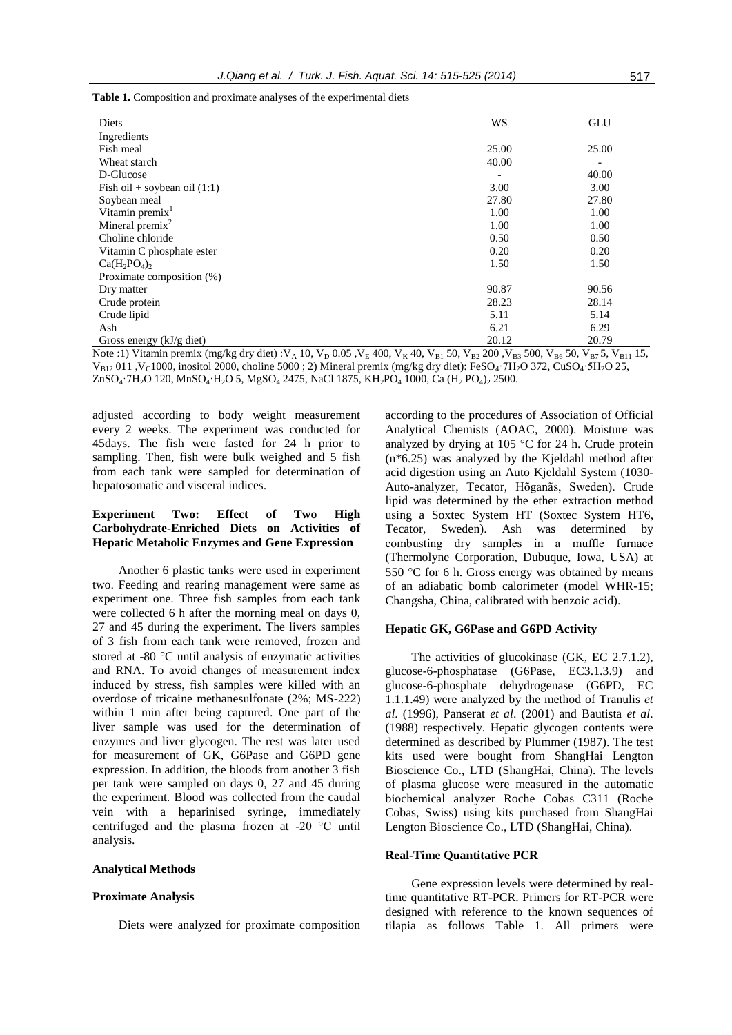| <b>Table 1.</b> Composition and proximate analyses of the experimental diets |  |  |  |
|------------------------------------------------------------------------------|--|--|--|
|                                                                              |  |  |  |

| Diets                              | <b>WS</b>                | <b>GLU</b>               |
|------------------------------------|--------------------------|--------------------------|
| Ingredients                        |                          |                          |
| Fish meal                          | 25.00                    | 25.00                    |
| Wheat starch                       | 40.00                    |                          |
|                                    |                          | $\overline{\phantom{a}}$ |
| D-Glucose                          | $\overline{\phantom{a}}$ | 40.00                    |
| Fish oil + soybean oil $(1:1)$     | 3.00                     | 3.00                     |
| Soybean meal                       | 27.80                    | 27.80                    |
| Vitamin premix <sup>1</sup>        | 1.00                     | 1.00                     |
| Mineral premix <sup>2</sup>        | 1.00                     | 1.00                     |
| Choline chloride                   | 0.50                     | 0.50                     |
| Vitamin C phosphate ester          | 0.20                     | 0.20                     |
| $Ca(H_2PO_4)_2$                    | 1.50                     | 1.50                     |
| Proximate composition (%)          |                          |                          |
| Dry matter                         | 90.87                    | 90.56                    |
| Crude protein                      | 28.23                    | 28.14                    |
| Crude lipid                        | 5.11                     | 5.14                     |
| Ash                                | 6.21                     | 6.29                     |
| Gross energy $(kJ/g \text{ diet})$ | 20.12                    | 20.79                    |

Note :1) Vitamin premix (mg/kg dry diet) :V<sub>A</sub> 10, V<sub>D</sub> 0.05 ,V<sub>E</sub> 400, V<sub>K</sub> 40, V<sub>B1</sub> 50, V<sub>B2</sub> 200 ,V<sub>B3</sub> 500, V<sub>B6</sub> 50, V<sub>B7</sub> 5, V<sub>B11</sub> 15,  $V_{B12}$  011, V<sub>C</sub>1000, inositol 2000, choline 5000; 2) Mineral premix (mg/kg dry diet): FeSO<sub>4</sub>·7H<sub>2</sub>O 372, CuSO<sub>4</sub>·5H<sub>2</sub>O 25, ZnSO<sub>4</sub>·7H<sub>2</sub>O 120, MnSO<sub>4</sub>·H<sub>2</sub>O 5, MgSO<sub>4</sub> 2475, NaCl 1875, KH<sub>2</sub>PO<sub>4</sub> 1000, Ca (H<sub>2</sub> PO<sub>4</sub>)<sub>2</sub> 2500.

adjusted according to body weight measurement every 2 weeks. The experiment was conducted for 45days. The fish were fasted for 24 h prior to sampling. Then, fish were bulk weighed and 5 fish from each tank were sampled for determination of hepatosomatic and visceral indices.

# **Experiment Two: Effect of Two High Carbohydrate-Enriched Diets on Activities of Hepatic Metabolic Enzymes and Gene Expression**

Another 6 plastic tanks were used in experiment two. Feeding and rearing management were same as experiment one. Three fish samples from each tank were collected 6 h after the morning meal on days 0, 27 and 45 during the experiment. The livers samples of 3 fish from each tank were removed, frozen and stored at -80 $\degree$ C until analysis of enzymatic activities and RNA. To avoid changes of measurement index induced by stress, fish samples were killed with an overdose of tricaine methanesulfonate (2%; MS-222) within 1 min after being captured. One part of the liver sample was used for the determination of enzymes and liver glycogen. The rest was later used for measurement of GK, G6Pase and G6PD gene expression. In addition, the bloods from another 3 fish per tank were sampled on days 0, 27 and 45 during the experiment. Blood was collected from the caudal vein with a heparinised syringe, immediately centrifuged and the plasma frozen at -20 °C until analysis.

#### **Analytical Methods**

#### **Proximate Analysis**

Diets were analyzed for proximate composition

according to the procedures of Association of Official Analytical Chemists (AOAC, 2000). Moisture was analyzed by drying at 105  $\degree$ C for 24 h. Crude protein (n\*6.25) was analyzed by the Kjeldahl method after acid digestion using an Auto Kjeldahl System (1030- Auto-analyzer, Tecator, Hõganãs, Sweden). Crude lipid was determined by the ether extraction method using a Soxtec System HT (Soxtec System HT6, Tecator, Sweden). Ash was determined by combusting dry samples in a muffle furnace (Thermolyne Corporation, Dubuque, Iowa, USA) at 550 °C for 6 h. Gross energy was obtained by means of an adiabatic bomb calorimeter (model WHR-15; Changsha, China, calibrated with benzoic acid).

### **Hepatic GK, G6Pase and G6PD Activity**

The activities of glucokinase (GK, EC 2.7.1.2), glucose-6-phosphatase (G6Pase, EC3.1.3.9) and glucose-6-phosphate dehydrogenase (G6PD, EC 1.1.1.49) were analyzed by the method of Tranulis *et al*. (1996), Panserat *et al*. (2001) and Bautista *et al*. (1988) respectively. Hepatic glycogen contents were determined as described by Plummer (1987). The test kits used were bought from ShangHai Lengton Bioscience Co., LTD (ShangHai, China). The levels of plasma glucose were measured in the automatic biochemical analyzer Roche Cobas C311 (Roche Cobas, Swiss) using kits purchased from ShangHai Lengton Bioscience Co., LTD (ShangHai, China).

#### **Real-Time Quantitative PCR**

Gene expression levels were determined by realtime quantitative RT-PCR. Primers for RT-PCR were designed with reference to the known sequences of tilapia as follows Table 1. All primers were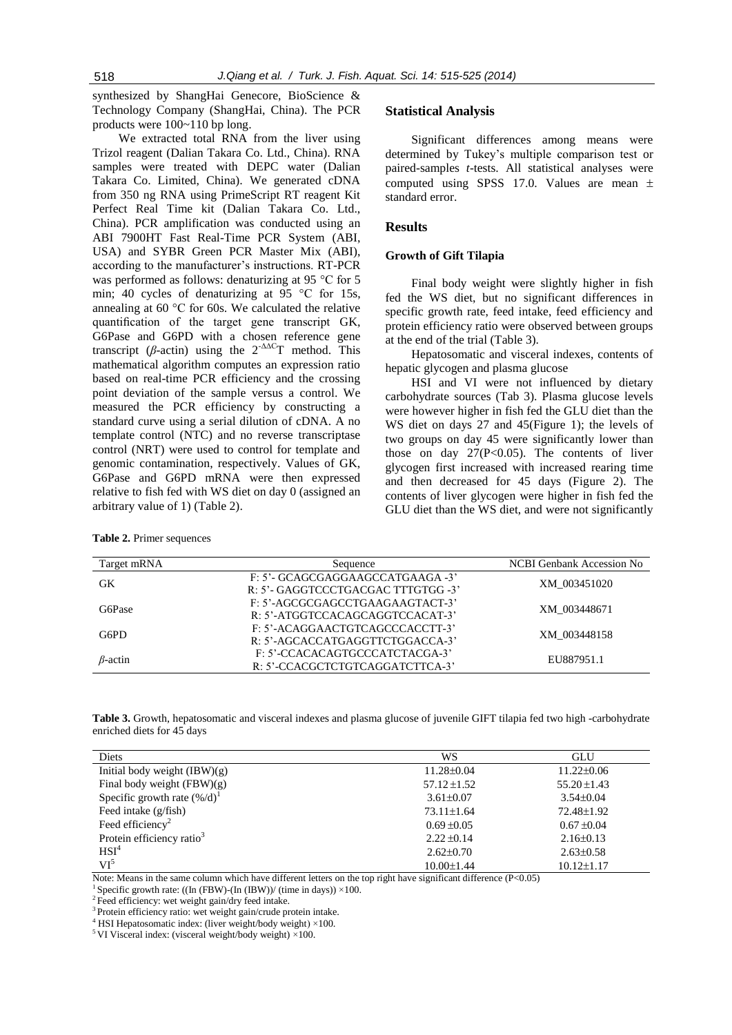synthesized by ShangHai Genecore, BioScience & Technology Company (ShangHai, China). The PCR products were 100~110 bp long.

We extracted total RNA from the liver using Trizol reagent (Dalian Takara Co. Ltd., China). RNA samples were treated with DEPC water (Dalian Takara Co. Limited, China). We generated cDNA from 350 ng RNA using PrimeScript RT reagent Kit Perfect Real Time kit (Dalian Takara Co. Ltd., China). PCR amplification was conducted using an ABI 7900HT Fast Real-Time PCR System (ABI, USA) and SYBR Green PCR Master Mix (ABI), according to the manufacturer's instructions. RT-PCR was performed as follows: denaturizing at 95 °C for 5 min; 40 cycles of denaturizing at 95 °C for 15s, annealing at 60 °C for 60s. We calculated the relative quantification of the target gene transcript GK, G6Pase and G6PD with a chosen reference gene transcript ( $\beta$ -actin) using the  $2^{-\Delta\Delta C}$ T method. This mathematical algorithm computes an expression ratio based on real-time PCR efficiency and the crossing point deviation of the sample versus a control. We measured the PCR efficiency by constructing a standard curve using a serial dilution of cDNA. A no template control (NTC) and no reverse transcriptase control (NRT) were used to control for template and genomic contamination, respectively. Values of GK, G6Pase and G6PD mRNA were then expressed relative to fish fed with WS diet on day 0 (assigned an arbitrary value of 1) (Table 2).

| <b>Table 2. Primer sequences</b> |  |  |  |  |  |
|----------------------------------|--|--|--|--|--|
|----------------------------------|--|--|--|--|--|

#### **Statistical Analysis**

Significant differences among means were determined by Tukey's multiple comparison test or paired-samples *t*-tests. All statistical analyses were computed using SPSS 17.0. Values are mean  $\pm$ standard error.

## **Results**

#### **Growth of Gift Tilapia**

Final body weight were slightly higher in fish fed the WS diet, but no significant differences in specific growth rate, feed intake, feed efficiency and protein efficiency ratio were observed between groups at the end of the trial (Table 3).

Hepatosomatic and visceral indexes, contents of hepatic glycogen and plasma glucose

HSI and VI were not influenced by dietary carbohydrate sources (Tab 3). Plasma glucose levels were however higher in fish fed the GLU diet than the WS diet on days 27 and 45(Figure 1); the levels of two groups on day 45 were significantly lower than those on day  $27(P<0.05)$ . The contents of liver glycogen first increased with increased rearing time and then decreased for 45 days (Figure 2). The contents of liver glycogen were higher in fish fed the GLU diet than the WS diet, and were not significantly

| Target mRNA    | Sequence                           | NCBI Genbank Accession No |  |
|----------------|------------------------------------|---------------------------|--|
| GK             | F: 5'- GCAGCGAGGAAGCCATGAAGA -3'   | XM 003451020              |  |
|                | R: 5'- GAGGTCCCTGACGAC TTTGTGG -3' |                           |  |
| G6Pase         | F: 5'-AGCGCGAGCCTGAAGAAGTACT-3'    | XM 003448671              |  |
|                | R: 5'-ATGGTCCACAGCAGGTCCACAT-3'    |                           |  |
| G6PD           | F: 5'-ACAGGAACTGTCAGCCCACCTT-3'    | XM 003448158              |  |
|                | R: 5'-AGCACCATGAGGTTCTGGACCA-3'    |                           |  |
| $\beta$ -actin | F: 5'-CCACACAGTGCCCATCTACGA-3'     | EU887951.1                |  |
|                | R: 5'-CCACGCTCTGTCAGGATCTTCA-3'    |                           |  |

**Table 3.** Growth, hepatosomatic and visceral indexes and plasma glucose of juvenile GIFT tilapia fed two high -carbohydrate enriched diets for 45 days

| Diets                                  | WS               | GLU              |
|----------------------------------------|------------------|------------------|
| Initial body weight $(IBW)(g)$         | $11.28 \pm 0.04$ | $11.22 \pm 0.06$ |
| Final body weight $(FBW)(g)$           | $57.12 \pm 1.52$ | $55.20 \pm 1.43$ |
| Specific growth rate $(\frac{6}{d})^1$ | $3.61 \pm 0.07$  | $3.54 \pm 0.04$  |
| Feed intake $(g/fish)$                 | $73.11 \pm 1.64$ | 72.48±1.92       |
| Feed efficiency <sup>2</sup>           | $0.69 \pm 0.05$  | $0.67 \pm 0.04$  |
| Protein efficiency ratio <sup>3</sup>  | $2.22 \pm 0.14$  | $2.16\pm0.13$    |
| HSI <sup>4</sup>                       | $2.62 \pm 0.70$  | $2.63 \pm 0.58$  |
| $VI^5$                                 | $10.00 \pm 1.44$ | $10.12 \pm 1.17$ |

Note: Means in the same column which have different letters on the top right have significant difference (P<0.05)

<sup>2</sup>Feed efficiency: wet weight gain/dry feed intake.

<sup>3</sup> Protein efficiency ratio: wet weight gain/crude protein intake.

<sup>4</sup> HSI Hepatosomatic index: (liver weight/body weight) ×100.

<sup>5</sup> VI Visceral index: (visceral weight/body weight)  $\times$ 100.

Specific growth rate: ((In (FBW)-(In (IBW))/ (time in days))  $\times$ 100.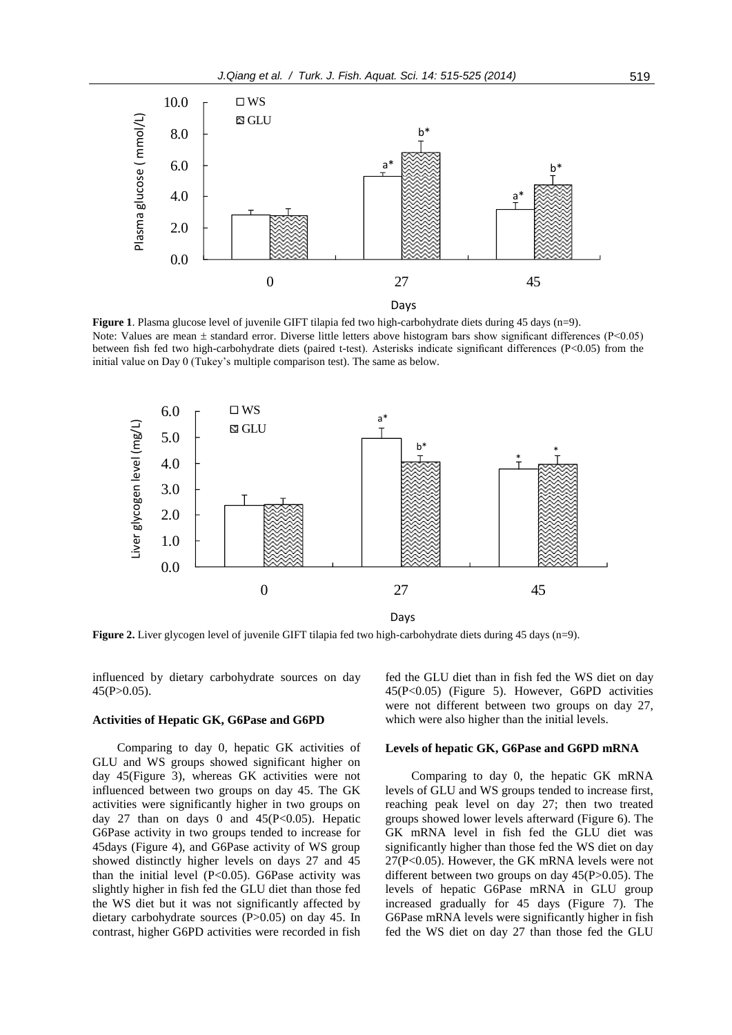

**Figure 1**. Plasma glucose level of juvenile GIFT tilapia fed two high-carbohydrate diets during 45 days (n=9). Note: Values are mean  $\pm$  standard error. Diverse little letters above histogram bars show significant differences (P<0.05) between fish fed two high-carbohydrate diets (paired t-test). Asterisks indicate significant differences (P<0.05) from the initial value on Day 0 (Tukey's multiple comparison test). The same as below.



**Figure 2.** Liver glycogen level of juvenile GIFT tilapia fed two high-carbohydrate diets during 45 days (n=9).

influenced by dietary carbohydrate sources on day  $45(P>0.05)$ .

#### **Activities of Hepatic GK, G6Pase and G6PD**

Comparing to day 0, hepatic GK activities of GLU and WS groups showed significant higher on day 45(Figure 3), whereas GK activities were not influenced between two groups on day 45. The GK activities were significantly higher in two groups on day 27 than on days 0 and  $45(P<0.05)$ . Hepatic G6Pase activity in two groups tended to increase for 45days (Figure 4), and G6Pase activity of WS group showed distinctly higher levels on days 27 and 45 than the initial level  $(P<0.05)$ . G6Pase activity was slightly higher in fish fed the GLU diet than those fed the WS diet but it was not significantly affected by dietary carbohydrate sources (P>0.05) on day 45. In contrast, higher G6PD activities were recorded in fish fed the GLU diet than in fish fed the WS diet on day 45(P<0.05) (Figure 5). However, G6PD activities were not different between two groups on day 27, which were also higher than the initial levels.

#### **Levels of hepatic GK, G6Pase and G6PD mRNA**

Comparing to day 0, the hepatic GK mRNA levels of GLU and WS groups tended to increase first, reaching peak level on day 27; then two treated groups showed lower levels afterward (Figure 6). The GK mRNA level in fish fed the GLU diet was significantly higher than those fed the WS diet on day 27(P<0.05). However, the GK mRNA levels were not different between two groups on day  $45(P>0.05)$ . The levels of hepatic G6Pase mRNA in GLU group increased gradually for 45 days (Figure 7). The G6Pase mRNA levels were significantly higher in fish fed the WS diet on day 27 than those fed the GLU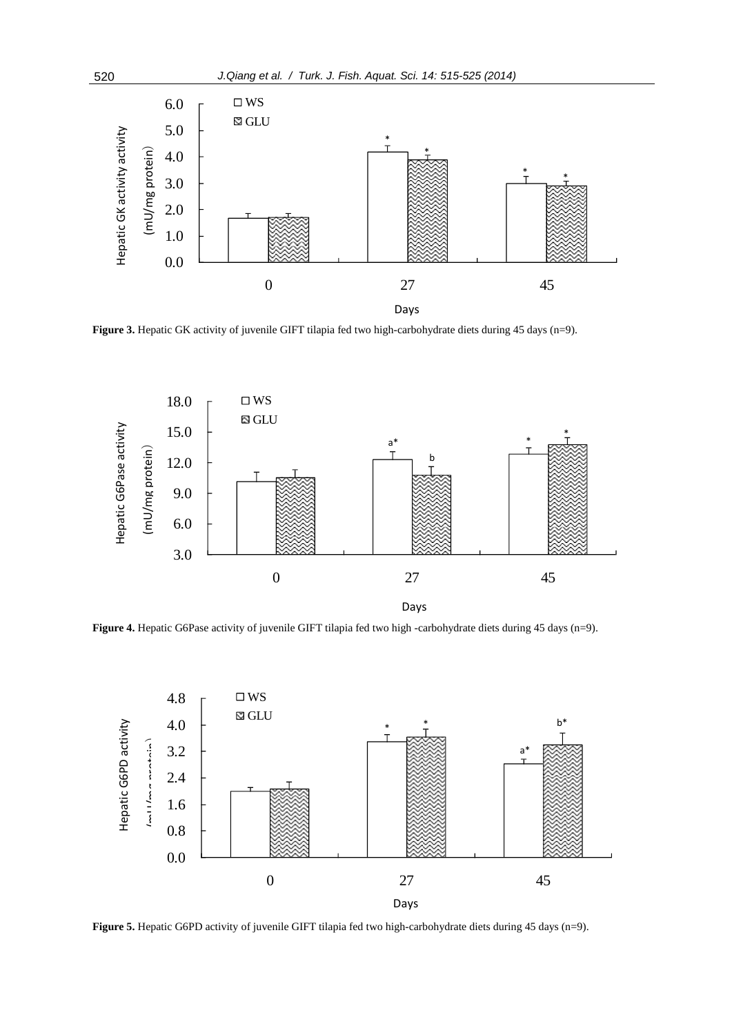

**Figure 3.** Hepatic GK activity of juvenile GIFT tilapia fed two high-carbohydrate diets during 45 days (n=9).



**Figure 4.** Hepatic G6Pase activity of juvenile GIFT tilapia fed two high -carbohydrate diets during 45 days (n=9).



**Figure 5.** Hepatic G6PD activity of juvenile GIFT tilapia fed two high-carbohydrate diets during 45 days (n=9).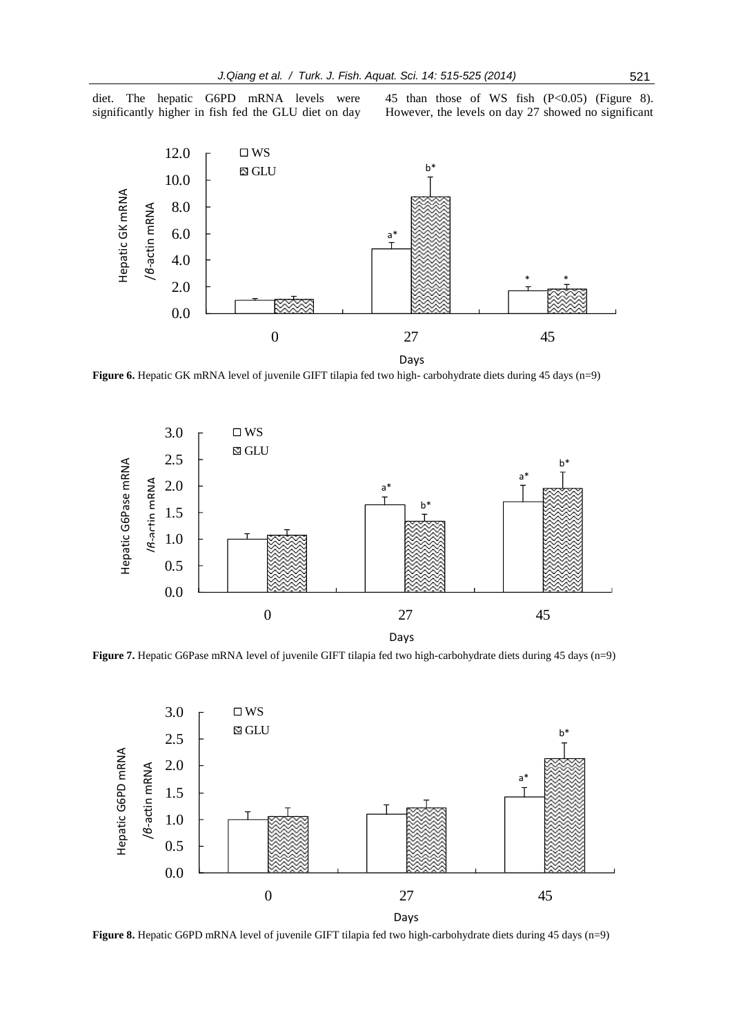diet. The hepatic G6PD mRNA levels were significantly higher in fish fed the GLU diet on day 45 than those of WS fish (P<0.05) (Figure 8). However, the levels on day 27 showed no significant



**Figure 6.** Hepatic GK mRNA level of juvenile GIFT tilapia fed two high- carbohydrate diets during 45 days (n=9)



**Figure 7.** Hepatic G6Pase mRNA level of juvenile GIFT tilapia fed two high-carbohydrate diets during 45 days (n=9)



**Figure 8.** Hepatic G6PD mRNA level of juvenile GIFT tilapia fed two high-carbohydrate diets during 45 days (n=9)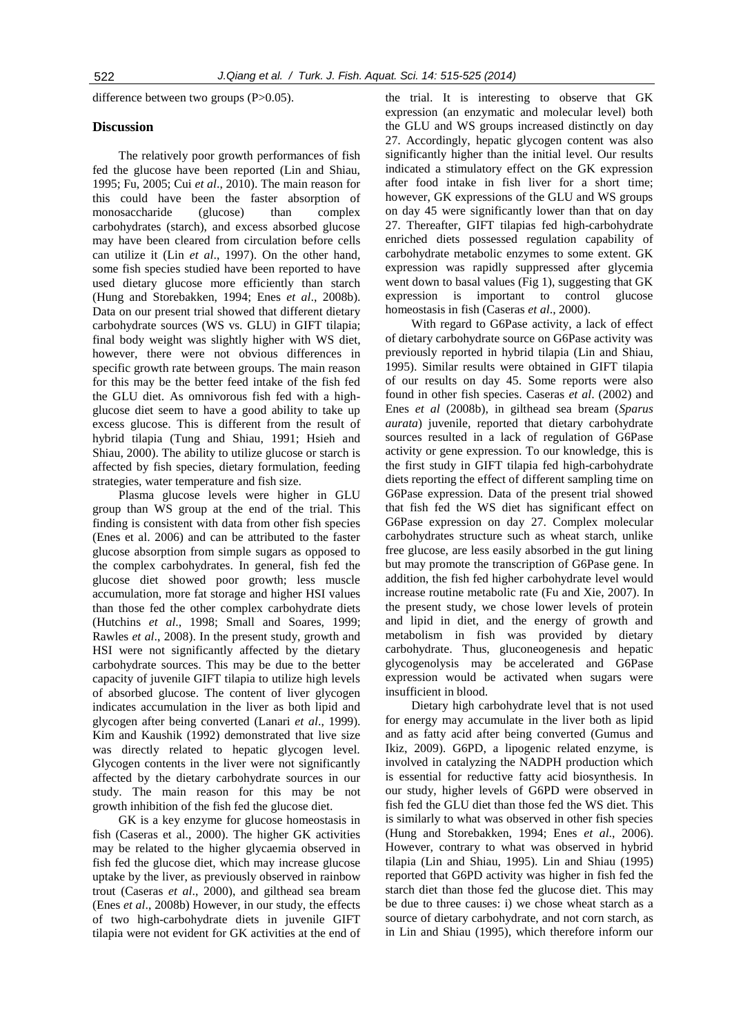difference between two groups (P>0.05).

# **Discussion**

The relatively poor growth performances of fish fed the glucose have been reported (Lin and Shiau, 1995; Fu, 2005; Cui *et al*., 2010). The main reason for this could have been the faster absorption of monosaccharide (glucose) than complex carbohydrates (starch), and excess absorbed glucose may have been cleared from circulation before cells can utilize it (Lin *et al*., 1997). On the other hand, some fish species studied have been reported to have used dietary glucose more efficiently than starch (Hung and Storebakken, 1994; Enes *et al*., 2008b). Data on our present trial showed that different dietary carbohydrate sources (WS vs. GLU) in GIFT tilapia; final body weight was slightly higher with WS diet, however, there were not obvious differences in specific growth rate between groups. The main reason for this may be the better feed intake of the fish fed the GLU diet. As omnivorous fish fed with a highglucose diet seem to have a good ability to take up excess glucose. This is different from the result of hybrid tilapia (Tung and Shiau, 1991; Hsieh and Shiau, 2000). The ability to utilize glucose or starch is affected by fish species, dietary formulation, feeding strategies, water temperature and fish size.

Plasma glucose levels were higher in GLU group than WS group at the end of the trial. This finding is consistent with data from other fish species (Enes et al. 2006) and can be attributed to the faster glucose absorption from simple sugars as opposed to the complex carbohydrates. In general, fish fed the glucose diet showed poor growth; less muscle accumulation, more fat storage and higher HSI values than those fed the other complex carbohydrate diets (Hutchins *et al*., 1998; Small and Soares, 1999; Rawles *et al*., 2008). In the present study, growth and HSI were not significantly affected by the dietary carbohydrate sources. This may be due to the better capacity of juvenile GIFT tilapia to utilize high levels of absorbed glucose. The content of liver glycogen indicates accumulation in the liver as both lipid and glycogen after being converted (Lanari *et al*., 1999). Kim and Kaushik (1992) demonstrated that live size was directly related to hepatic glycogen level. Glycogen contents in the liver were not significantly affected by the dietary carbohydrate sources in our study. The main reason for this may be not growth inhibition of the fish fed the glucose diet.

GK is a key enzyme for glucose homeostasis in fish (Caseras et al., 2000). The higher GK activities may be related to the higher glycaemia observed in fish fed the glucose diet, which may increase glucose uptake by the liver, as previously observed in rainbow trout (Caseras *et al*., 2000), and gilthead sea bream (Enes *et al*., 2008b) However, in our study, the effects of two high-carbohydrate diets in juvenile GIFT tilapia were not evident for GK activities at the end of

the trial. It is interesting to observe that GK expression (an enzymatic and molecular level) both the GLU and WS groups increased distinctly on day 27. Accordingly, hepatic glycogen content was also significantly higher than the initial level. Our results indicated a stimulatory effect on the GK expression after food intake in fish liver for a short time; however, GK expressions of the GLU and WS groups on day 45 were significantly lower than that on day 27. Thereafter, GIFT tilapias fed high-carbohydrate enriched diets possessed regulation capability of carbohydrate metabolic enzymes to some extent. GK expression was rapidly suppressed after glycemia went down to basal values (Fig 1), suggesting that GK expression is important to control glucose homeostasis in fish (Caseras *et al*., 2000).

With regard to G6Pase activity, a lack of effect of dietary carbohydrate source on G6Pase activity was previously reported in hybrid tilapia (Lin and Shiau, 1995). Similar results were obtained in GIFT tilapia of our results on day 45. Some reports were also found in other fish species. Caseras *et al*. (2002) and Enes *et al* (2008b), in gilthead sea bream (*Sparus aurata*) juvenile, reported that dietary carbohydrate sources resulted in a lack of regulation of G6Pase activity or gene expression. To our knowledge, this is the first study in GIFT tilapia fed high-carbohydrate diets reporting the effect of different sampling time on G6Pase expression. Data of the present trial showed that fish fed the WS diet has significant effect on G6Pase expression on day 27. Complex molecular carbohydrates structure such as wheat starch, unlike free glucose, are less easily absorbed in the gut lining but may promote the transcription of G6Pase gene. In addition, the fish fed higher carbohydrate level would increase routine metabolic rate (Fu and Xie, 2007). In the present study, we chose lower levels of protein and lipid in diet, and the energy of growth and metabolism in fish was provided by dietary carbohydrate. Thus, gluconeogenesis and hepatic glycogenolysis may be accelerated and G6Pase expression would be activated when sugars were insufficient in blood.

Dietary high carbohydrate level that is not used for energy may accumulate in the liver both as lipid and as fatty acid after being converted (Gumus and Ikiz, 2009). G6PD, a lipogenic related enzyme, is involved in catalyzing the NADPH production which is essential for reductive fatty acid biosynthesis. In our study, higher levels of G6PD were observed in fish fed the GLU diet than those fed the WS diet. This is similarly to what was observed in other fish species (Hung and Storebakken, 1994; Enes *et al*., 2006). However, contrary to what was observed in hybrid tilapia (Lin and Shiau, 1995). Lin and Shiau (1995) reported that G6PD activity was higher in fish fed the starch diet than those fed the glucose diet. This may be due to three causes: i) we chose wheat starch as a source of dietary carbohydrate, and not corn starch, as in Lin and Shiau (1995), which therefore inform our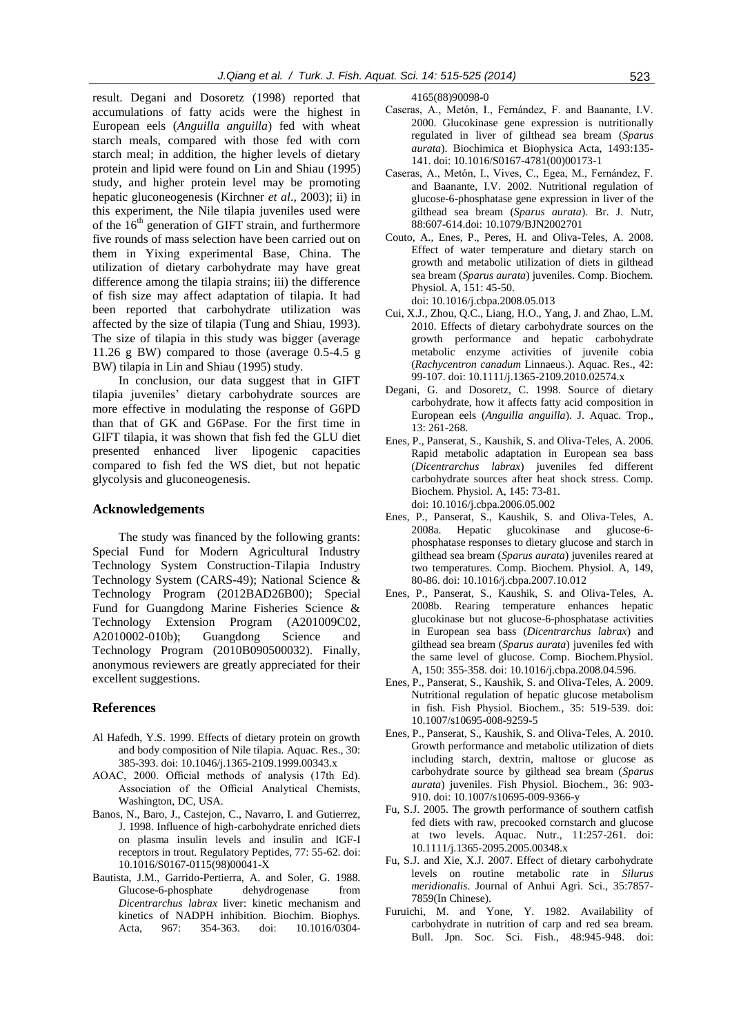result. Degani and Dosoretz (1998) reported that accumulations of fatty acids were the highest in European eels (*Anguilla anguilla*) fed with wheat starch meals, compared with those fed with corn starch meal; in addition, the higher levels of dietary protein and lipid were found on Lin and Shiau (1995) study, and higher protein level may be promoting hepatic gluconeogenesis (Kirchner *et al*., 2003); ii) in this experiment, the Nile tilapia juveniles used were of the  $16<sup>th</sup>$  generation of GIFT strain, and furthermore five rounds of mass selection have been carried out on them in Yixing experimental Base, China. The utilization of dietary carbohydrate may have great difference among the tilapia strains; iii) the difference of fish size may affect adaptation of tilapia. It had been reported that carbohydrate utilization was affected by the size of tilapia (Tung and Shiau, 1993). The size of tilapia in this study was bigger (average 11.26 g BW) compared to those (average 0.5-4.5 g BW) tilapia in Lin and Shiau (1995) study.

In conclusion, our data suggest that in GIFT tilapia juveniles' dietary carbohydrate sources are more effective in modulating the response of G6PD than that of GK and G6Pase. For the first time in GIFT tilapia, it was shown that fish fed the GLU diet presented enhanced liver lipogenic capacities compared to fish fed the WS diet, but not hepatic glycolysis and gluconeogenesis.

#### **Acknowledgements**

The study was financed by the following grants: Special Fund for Modern Agricultural Industry Technology System Construction-Tilapia Industry Technology System (CARS-49); National Science & Technology Program (2012BAD26B00); Special Fund for Guangdong Marine Fisheries Science & Technology Extension Program (A201009C02, A2010002-010b); Guangdong Science and Technology Program (2010B090500032). Finally, anonymous reviewers are greatly appreciated for their excellent suggestions.

# **References**

- Al Hafedh, Y.S. 1999. Effects of dietary protein on growth and body composition of Nile tilapia. Aquac. Res., 30: 385-393. doi: 10.1046/j.1365-2109.1999.00343.x
- AOAC, 2000. Official methods of analysis (17th Ed). Association of the Official Analytical Chemists, Washington, DC, USA.
- Banos, N., Baro, J., Castejon, C., Navarro, I. and Gutierrez, J. 1998. Influence of high-carbohydrate enriched diets on plasma insulin levels and insulin and IGF-I receptors in trout. Regulatory Peptides, 77: 55-62. doi: 10.1016/S0167-0115(98)00041-X
- Bautista, J.M., Garrido-Pertierra, A. and Soler, G. 1988. Glucose-6-phosphate dehydrogenase from *Dicentrarchus labrax* liver: kinetic mechanism and kinetics of NADPH inhibition. Biochim. Biophys. Acta, 967: 354-363. doi: 10.1016/0304-

4165(88)90098-0

- Caseras, A., Metón, I., Fernández, F. and Baanante, I.V. 2000. Glucokinase gene expression is nutritionally regulated in liver of gilthead sea bream (*Sparus aurata*). Biochimica et Biophysica Acta, 1493:135- 141. doi: 10.1016/S0167-4781(00)00173-1
- Caseras, A., Metón, I., Vives, C., Egea, M., Fernández, F. and Baanante, I.V. 2002. Nutritional regulation of glucose-6-phosphatase gene expression in liver of the gilthead sea bream (*Sparus aurata*). Br. J. Nutr, 88:607-614.doi: 10.1079/BJN2002701
- Couto, A., Enes, P., Peres, H. and Oliva-Teles, A. 2008. Effect of water temperature and dietary starch on growth and metabolic utilization of diets in gilthead sea bream (*Sparus aurata*) juveniles. Comp. Biochem. Physiol. A, 151: 45-50. doi: 10.1016/j.cbpa.2008.05.013
- Cui, X.J., Zhou, Q.C., Liang, H.O., Yang, J. and Zhao, L.M. 2010. Effects of dietary carbohydrate sources on the growth performance and hepatic carbohydrate metabolic enzyme activities of juvenile cobia (*Rachycentron canadum* Linnaeus.). Aquac. Res., 42: 99-107. doi: 10.1111/j.1365-2109.2010.02574.x
- Degani, G. and Dosoretz, C. 1998. Source of dietary carbohydrate, how it affects fatty acid composition in European eels (*Anguilla anguilla*). J. Aquac. Trop., 13: 261-268.
- Enes, P., Panserat, S., Kaushik, S. and Oliva-Teles, A. 2006. Rapid metabolic adaptation in European sea bass (*Dicentrarchus labrax*) juveniles fed different carbohydrate sources after heat shock stress. Comp. Biochem. Physiol. A, 145: 73-81. doi: 10.1016/j.cbpa.2006.05.002
- Enes, P., Panserat, S., Kaushik, S. and Oliva-Teles, A. 2008a. Hepatic glucokinase and glucose-6 phosphatase responses to dietary glucose and starch in gilthead sea bream (*Sparus aurata*) juveniles reared at two temperatures. Comp. Biochem. Physiol. A, 149, 80-86. doi: 10.1016/j.cbpa.2007.10.012
- Enes, P., Panserat, S., Kaushik, S. and Oliva-Teles, A. 2008b. Rearing temperature enhances hepatic glucokinase but not glucose-6-phosphatase activities in European sea bass (*Dicentrarchus labrax*) and gilthead sea bream (*Sparus aurata*) juveniles fed with the same level of glucose. Comp. Biochem.Physiol. A, 150: 355-358. doi: 10.1016/j.cbpa.2008.04.596.
- Enes, P., Panserat, S., Kaushik, S. and Oliva-Teles, A. 2009. Nutritional regulation of hepatic glucose metabolism in fish. Fish Physiol. Biochem., 35: 519-539. doi: 10.1007/s10695-008-9259-5
- Enes, P., Panserat, S., Kaushik, S. and Oliva-Teles, A. 2010. Growth performance and metabolic utilization of diets including starch, dextrin, maltose or glucose as carbohydrate source by gilthead sea bream (*Sparus aurata*) juveniles. Fish Physiol. Biochem., 36: 903- 910. doi: 10.1007/s10695-009-9366-y
- Fu, S.J. 2005. The growth performance of southern catfish fed diets with raw, precooked cornstarch and glucose at two levels. Aquac. Nutr., 11:257-261. doi: 10.1111/j.1365-2095.2005.00348.x
- Fu, S.J. and Xie, X.J. 2007. Effect of dietary carbohydrate levels on routine metabolic rate in *Silurus meridionalis*. Journal of Anhui Agri. Sci., 35:7857- 7859(In Chinese).
- Furuichi, M. and Yone, Y. 1982. Availability of carbohydrate in nutrition of carp and red sea bream. Bull. Jpn. Soc. Sci. Fish., 48:945-948. doi: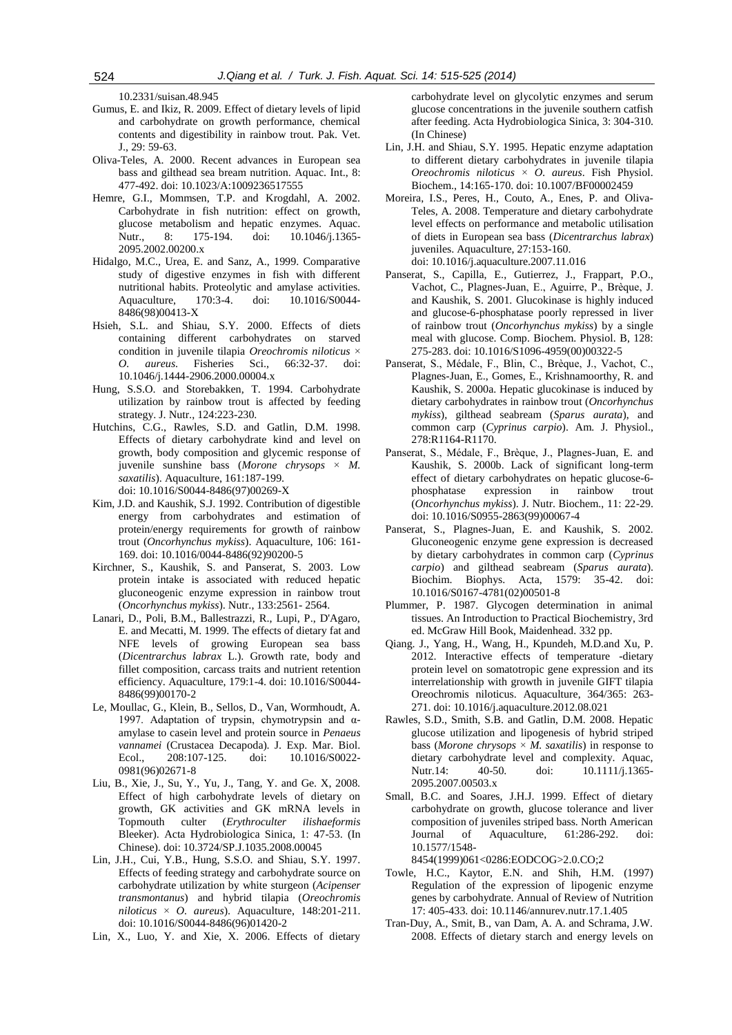10.2331/suisan.48.945

- Gumus, E. and Ikiz, R. 2009. Effect of dietary levels of lipid and carbohydrate on growth performance, chemical contents and digestibility in rainbow trout. Pak. Vet. J., 29: 59-63.
- Oliva-Teles, A. 2000. Recent advances in European sea bass and gilthead sea bream nutrition. Aquac. Int., 8: 477-492. doi: 10.1023/A:1009236517555
- Hemre, G.I., Mommsen, T.P. and Krogdahl, A. 2002. Carbohydrate in fish nutrition: effect on growth, glucose metabolism and hepatic enzymes. Aquac. Nutr., 8: 175-194. doi: 10.1046/j.1365-2095.2002.00200.x
- Hidalgo, M.C., Urea, E. and Sanz, A., 1999. Comparative study of digestive enzymes in fish with different nutritional habits. Proteolytic and amylase activities. Aquaculture, 170:3-4. doi: 10.1016/S0044- 8486(98)00413-X
- Hsieh, S.L. and Shiau, S.Y. 2000. Effects of diets containing different carbohydrates on starved condition in juvenile tilapia *Oreochromis niloticus* × *O. aureus*. Fisheries Sci., 66:32-37. doi: 10.1046/j.1444-2906.2000.00004.x
- Hung, S.S.O. and Storebakken, T. 1994. Carbohydrate utilization by rainbow trout is affected by feeding strategy. J. Nutr., 124:223-230.
- Hutchins, C.G., Rawles, S.D. and Gatlin, D.M. 1998. Effects of dietary carbohydrate kind and level on growth, body composition and glycemic response of juvenile sunshine bass (*Morone chrysops* × *M. saxatilis*). Aquaculture, 161:187-199. doi: 10.1016/S0044-8486(97)00269-X
- Kim, J.D. and Kaushik, S.J. 1992. Contribution of digestible energy from carbohydrates and estimation of protein/energy requirements for growth of rainbow trout (*Oncorhynchus mykiss*). Aquaculture, 106: 161- 169. doi: 10.1016/0044-8486(92)90200-5
- Kirchner, S., Kaushik, S. and Panserat, S. 2003. Low protein intake is associated with reduced hepatic gluconeogenic enzyme expression in rainbow trout (*Oncorhynchus mykiss*). Nutr., 133:2561- 2564.
- Lanari, D., Poli, B.M., Ballestrazzi, R., Lupi, P., D'Agaro, E. and Mecatti, M. 1999. The effects of dietary fat and NFE levels of growing European sea bass (*Dicentrarchus labrax* L.). Growth rate, body and fillet composition, carcass traits and nutrient retention efficiency. Aquaculture, 179:1-4. doi: 10.1016/S0044- 8486(99)00170-2
- Le, Moullac, G., Klein, B., Sellos, D., Van, Wormhoudt, A. 1997. Adaptation of trypsin, chymotrypsin and  $α$ amylase to casein level and protein source in *Penaeus vannamei* (Crustacea Decapoda). J. Exp. Mar. Biol. Ecol., 208:107-125. doi: 10.1016/S0022- 0981(96)02671-8
- Liu, B., Xie, J., Su, Y., Yu, J., Tang, Y. and Ge. X, 2008. Effect of high carbohydrate levels of dietary on growth, GK activities and GK mRNA levels in Topmouth culter (*Erythroculter ilishaeformis* Bleeker). Acta Hydrobiologica Sinica, 1: 47-53. (In Chinese). doi: 10.3724/SP.J.1035.2008.00045
- Lin, J.H., Cui, Y.B., Hung, S.S.O. and Shiau, S.Y. 1997. Effects of feeding strategy and carbohydrate source on carbohydrate utilization by white sturgeon (*Acipenser transmontanus*) and hybrid tilapia (*Oreochromis niloticus* × *O. aureus*). Aquaculture, 148:201-211. doi: 10.1016/S0044-8486(96)01420-2
- Lin, X., Luo, Y. and Xie, X. 2006. Effects of dietary

carbohydrate level on glycolytic enzymes and serum glucose concentrations in the juvenile southern catfish after feeding. Acta Hydrobiologica Sinica, 3: 304-310. (In Chinese)

- Lin, J.H. and Shiau, S.Y. 1995. Hepatic enzyme adaptation to different dietary carbohydrates in juvenile tilapia *Oreochromis niloticus* × *O. aureus*. Fish Physiol. Biochem., 14:165-170. doi: 10.1007/BF00002459
- Moreira, I.S., Peres, H., Couto, A., Enes, P. and Oliva-Teles, A. 2008. Temperature and dietary carbohydrate level effects on performance and metabolic utilisation of diets in European sea bass (*Dicentrarchus labrax*) juveniles. Aquaculture, 27:153-160. doi: 10.1016/j.aquaculture.2007.11.016
- Panserat, S., Capilla, E., Gutierrez, J., Frappart, P.O., Vachot, C., Plagnes-Juan, E., Aguirre, P., Brèque, J. and Kaushik, S. 2001. Glucokinase is highly induced and glucose-6-phosphatase poorly repressed in liver of rainbow trout (*Oncorhynchus mykiss*) by a single meal with glucose. Comp. Biochem. Physiol. B, 128: 275-283. doi: 10.1016/S1096-4959(00)00322-5
- Panserat, S., Médale, F., Blin, C., Brèque, J., Vachot, C., Plagnes-Juan, E., Gomes, E., Krishnamoorthy, R. and Kaushik, S. 2000a. Hepatic glucokinase is induced by dietary carbohydrates in rainbow trout (*Oncorhynchus mykiss*), gilthead seabream (*Sparus aurata*), and common carp (*Cyprinus carpio*). Am. J. Physiol., 278:R1164-R1170.
- Panserat, S., Médale, F., Brèque, J., Plagnes-Juan, E. and Kaushik, S. 2000b. Lack of significant long-term effect of dietary carbohydrates on hepatic glucose-6 phosphatase expression in rainbow trout (*Oncorhynchus mykiss*). J. Nutr. Biochem., 11: 22-29. doi: 10.1016/S0955-2863(99)00067-4
- Panserat, S., Plagnes-Juan, E. and Kaushik, S. 2002. Gluconeogenic enzyme gene expression is decreased by dietary carbohydrates in common carp (*Cyprinus carpio*) and gilthead seabream (*Sparus aurata*). Biochim. Biophys. Acta, 1579: 35-42. doi: 10.1016/S0167-4781(02)00501-8
- Plummer, P. 1987. Glycogen determination in animal tissues. An Introduction to Practical Biochemistry, 3rd ed. McGraw Hill Book, Maidenhead. 332 pp.
- Qiang. J., Yang, H., Wang, H., Kpundeh, M.D.and Xu, P. 2012. Interactive effects of temperature -dietary protein level on somatotropic gene expression and its interrelationship with growth in juvenile GIFT tilapia Oreochromis niloticus. Aquaculture, 364/365: 263- 271. doi: 10.1016/j.aquaculture.2012.08.021
- Rawles, S.D., Smith, S.B. and Gatlin, D.M. 2008. Hepatic glucose utilization and lipogenesis of hybrid striped bass (*Morone chrysops*  $\times$  *M. saxatilis*) in response to dietary carbohydrate level and complexity. Aquac, Nutr.14: 40-50. doi: 10.1111/j.1365-2095.2007.00503.x
- Small, B.C. and Soares, J.H.J. 1999. Effect of dietary carbohydrate on growth, glucose tolerance and liver composition of juveniles striped bass. North American Journal of Aquaculture, 61:286-292. doi: 10.1577/1548-

8454(1999)061<0286:EODCOG>2.0.CO;2

- Towle, H.C., Kaytor, E.N. and Shih, H.M. (1997) Regulation of the expression of lipogenic enzyme genes by carbohydrate. Annual of Review of Nutrition 17: 405-433. doi: 10.1146/annurev.nutr.17.1.405
- Tran-Duy, A., Smit, B., van Dam, A. A. and Schrama, J.W. 2008. Effects of dietary starch and energy levels on